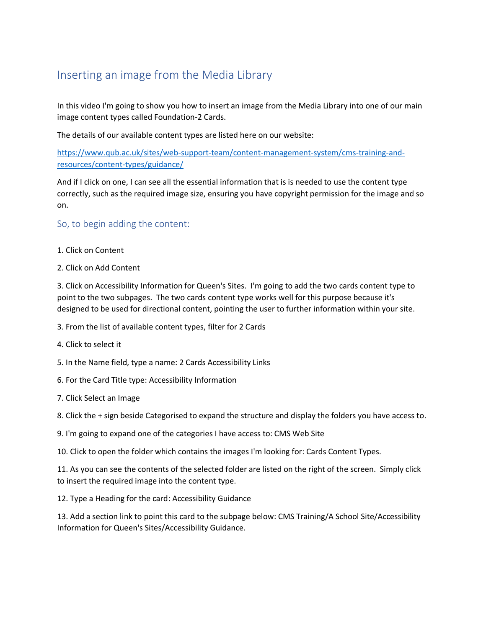## Inserting an image from the Media Library

In this video I'm going to show you how to insert an image from the Media Library into one of our main image content types called Foundation-2 Cards.

The details of our available content types are listed here on our website:

[https://www.qub.ac.uk/sites/web-support-team/content-management-system/cms-training-and](https://www.qub.ac.uk/sites/web-support-team/content-management-system/cms-training-and-resources/content-types/guidance/)[resources/content-types/guidance/](https://www.qub.ac.uk/sites/web-support-team/content-management-system/cms-training-and-resources/content-types/guidance/)

And if I click on one, I can see all the essential information that is is needed to use the content type correctly, such as the required image size, ensuring you have copyright permission for the image and so on.

So, to begin adding the content:

- 1. Click on Content
- 2. Click on Add Content

3. Click on Accessibility Information for Queen's Sites. I'm going to add the two cards content type to point to the two subpages. The two cards content type works well for this purpose because it's designed to be used for directional content, pointing the user to further information within your site.

3. From the list of available content types, filter for 2 Cards

- 4. Click to select it
- 5. In the Name field, type a name: 2 Cards Accessibility Links
- 6. For the Card Title type: Accessibility Information
- 7. Click Select an Image

8. Click the + sign beside Categorised to expand the structure and display the folders you have access to.

9. I'm going to expand one of the categories I have access to: CMS Web Site

10. Click to open the folder which contains the images I'm looking for: Cards Content Types.

11. As you can see the contents of the selected folder are listed on the right of the screen. Simply click to insert the required image into the content type.

12. Type a Heading for the card: Accessibility Guidance

13. Add a section link to point this card to the subpage below: CMS Training/A School Site/Accessibility Information for Queen's Sites/Accessibility Guidance.